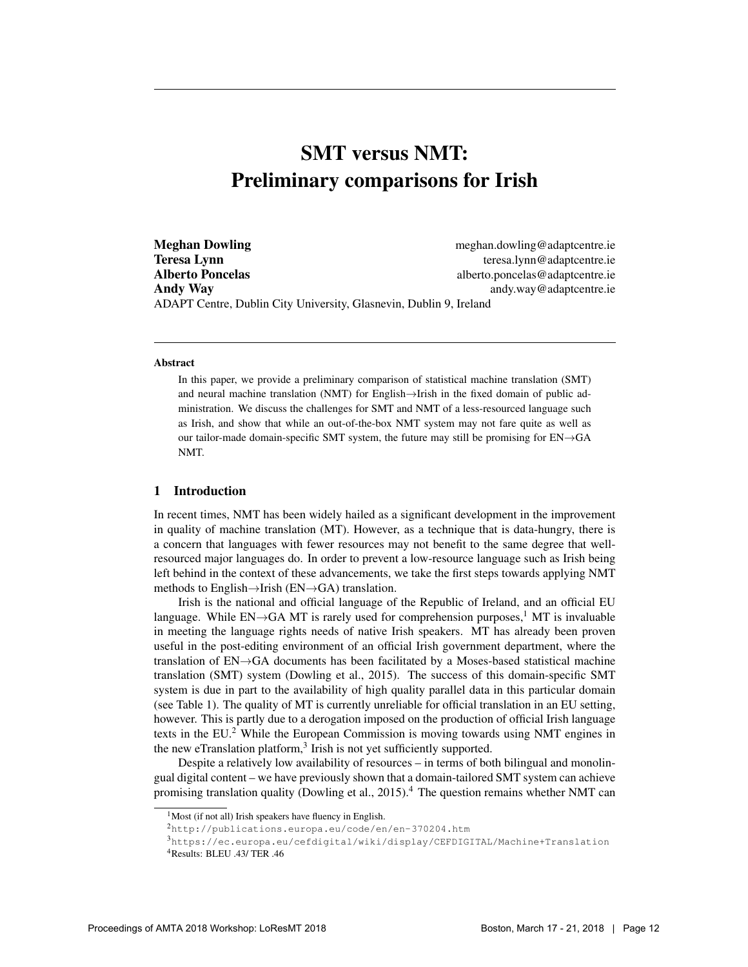# SMT versus NMT: Preliminary comparisons for Irish

**Meghan Dowling meghan.dowling meghan.dowling@adaptcentre.ie Teresa Lynn** teresa.lynn @adaptcentre.ie Alberto Poncelas alberto.poncelas alberto.poncelas alberto.poncelas alberto.poncelas alberto.poncelas alberto.poncelas alberto.poncelas alberto.poncelas alberto.poncelas alberto.poncelas alberto.poncelas alberto.poncelas a Andy Way and the contract of the contract of the contract and andy.way @adaptcentre.ie ADAPT Centre, Dublin City University, Glasnevin, Dublin 9, Ireland

#### **Abstract**

In this paper, we provide a preliminary comparison of statistical machine translation (SMT) and neural machine translation (NMT) for English→Irish in the fixed domain of public administration. We discuss the challenges for SMT and NMT of a less-resourced language such as Irish, and show that while an out-of-the-box NMT system may not fare quite as well as our tailor-made domain-specific SMT system, the future may still be promising for EN→GA NMT.

## 1 Introduction

In recent times, NMT has been widely hailed as a significant development in the improvement in quality of machine translation (MT). However, as a technique that is data-hungry, there is a concern that languages with fewer resources may not benefit to the same degree that wellresourced major languages do. In order to prevent a low-resource language such as Irish being left behind in the context of these advancements, we take the first steps towards applying NMT methods to English $\rightarrow$ Irish (EN $\rightarrow$ GA) translation.

Irish is the national and official language of the Republic of Ireland, and an official EU language. While  $EN\rightarrow GA$  MT is rarely used for comprehension purposes,<sup>1</sup> MT is invaluable in meeting the language rights needs of native Irish speakers. MT has already been proven useful in the post-editing environment of an official Irish government department, where the translation of EN→GA documents has been facilitated by a Moses-based statistical machine translation (SMT) system (Dowling et al., 2015). The success of this domain-specific SMT system is due in part to the availability of high quality parallel data in this particular domain (see Table 1). The quality of MT is currently unreliable for official translation in an EU setting, however. This is partly due to a derogation imposed on the production of official Irish language texts in the  $EU^2$ . While the European Commission is moving towards using NMT engines in the new eTranslation platform,<sup>3</sup> Irish is not yet sufficiently supported.

Despite a relatively low availability of resources – in terms of both bilingual and monolingual digital content – we have previously shown that a domain-tailored SMT system can achieve promising translation quality (Dowling et al., 2015).<sup>4</sup> The question remains whether NMT can

 $<sup>1</sup>$ Most (if not all) Irish speakers have fluency in English.</sup>

<sup>2</sup>http://publications.europa.eu/code/en/en-370204.htm

<sup>3</sup>https://ec.europa.eu/cefdigital/wiki/display/CEFDIGITAL/Machine+Translation <sup>4</sup>Results: BLEU .43/ TER .46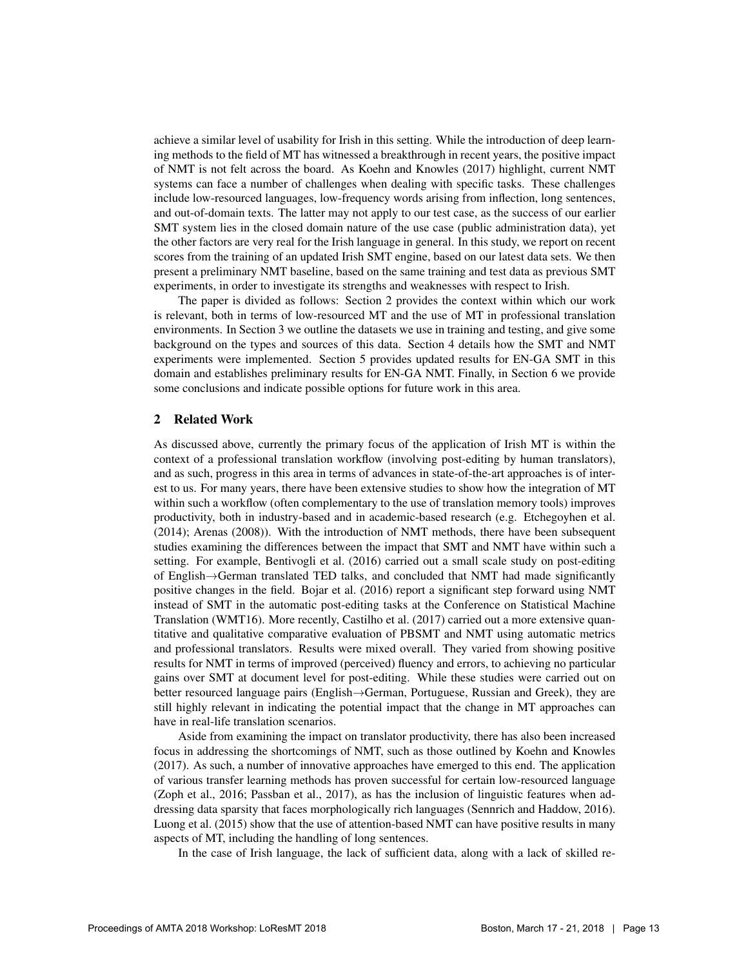achieve a similar level of usability for Irish in this setting. While the introduction of deep learning methods to the field of MT has witnessed a breakthrough in recent years, the positive impact of NMT is not felt across the board. As Koehn and Knowles (2017) highlight, current NMT systems can face a number of challenges when dealing with specific tasks. These challenges include low-resourced languages, low-frequency words arising from inflection, long sentences, and out-of-domain texts. The latter may not apply to our test case, as the success of our earlier SMT system lies in the closed domain nature of the use case (public administration data), yet the other factors are very real for the Irish language in general. In this study, we report on recent scores from the training of an updated Irish SMT engine, based on our latest data sets. We then present a preliminary NMT baseline, based on the same training and test data as previous SMT experiments, in order to investigate its strengths and weaknesses with respect to Irish.

The paper is divided as follows: Section 2 provides the context within which our work is relevant, both in terms of low-resourced MT and the use of MT in professional translation environments. In Section 3 we outline the datasets we use in training and testing, and give some background on the types and sources of this data. Section 4 details how the SMT and NMT experiments were implemented. Section 5 provides updated results for EN-GA SMT in this domain and establishes preliminary results for EN-GA NMT. Finally, in Section 6 we provide some conclusions and indicate possible options for future work in this area.

#### 2 Related Work

As discussed above, currently the primary focus of the application of Irish MT is within the context of a professional translation workflow (involving post-editing by human translators), and as such, progress in this area in terms of advances in state-of-the-art approaches is of interest to us. For many years, there have been extensive studies to show how the integration of MT within such a workflow (often complementary to the use of translation memory tools) improves productivity, both in industry-based and in academic-based research (e.g. Etchegoyhen et al. (2014); Arenas (2008)). With the introduction of NMT methods, there have been subsequent studies examining the differences between the impact that SMT and NMT have within such a setting. For example, Bentivogli et al. (2016) carried out a small scale study on post-editing of English→German translated TED talks, and concluded that NMT had made significantly positive changes in the field. Bojar et al. (2016) report a significant step forward using NMT instead of SMT in the automatic post-editing tasks at the Conference on Statistical Machine Translation (WMT16). More recently, Castilho et al. (2017) carried out a more extensive quantitative and qualitative comparative evaluation of PBSMT and NMT using automatic metrics and professional translators. Results were mixed overall. They varied from showing positive results for NMT in terms of improved (perceived) fluency and errors, to achieving no particular gains over SMT at document level for post-editing. While these studies were carried out on better resourced language pairs (English→German, Portuguese, Russian and Greek), they are still highly relevant in indicating the potential impact that the change in MT approaches can have in real-life translation scenarios.

Aside from examining the impact on translator productivity, there has also been increased focus in addressing the shortcomings of NMT, such as those outlined by Koehn and Knowles (2017). As such, a number of innovative approaches have emerged to this end. The application of various transfer learning methods has proven successful for certain low-resourced language (Zoph et al., 2016; Passban et al., 2017), as has the inclusion of linguistic features when addressing data sparsity that faces morphologically rich languages (Sennrich and Haddow, 2016). Luong et al. (2015) show that the use of attention-based NMT can have positive results in many aspects of MT, including the handling of long sentences.

In the case of Irish language, the lack of sufficient data, along with a lack of skilled re-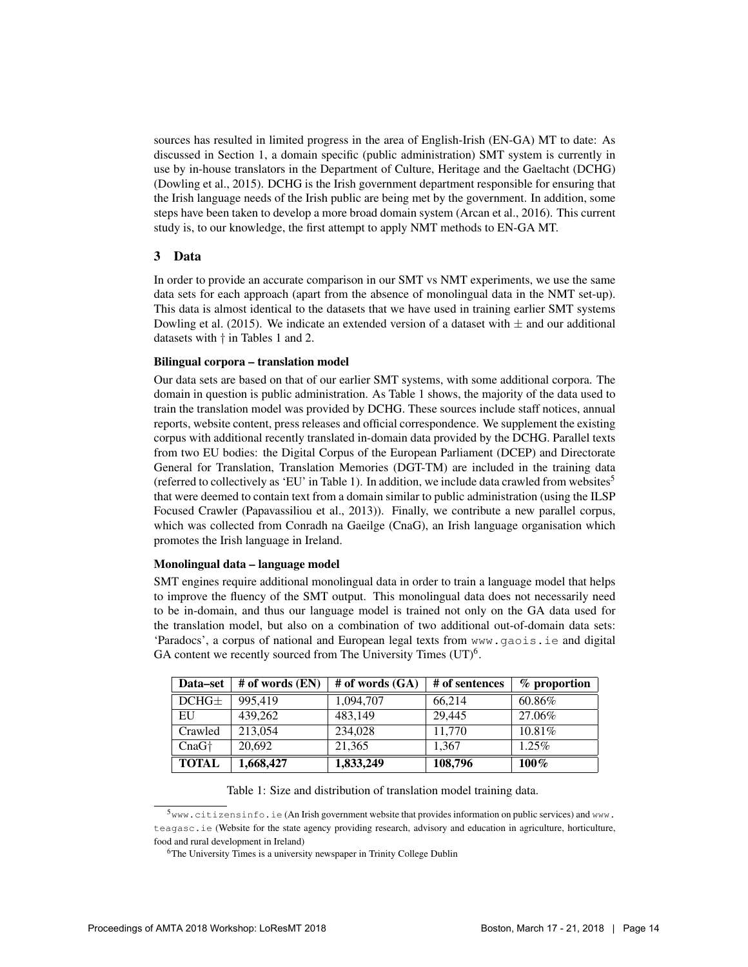sources has resulted in limited progress in the area of English-Irish (EN-GA) MT to date: As discussed in Section 1, a domain specific (public administration) SMT system is currently in use by in-house translators in the Department of Culture, Heritage and the Gaeltacht (DCHG) (Dowling et al., 2015). DCHG is the Irish government department responsible for ensuring that the Irish language needs of the Irish public are being met by the government. In addition, some steps have been taken to develop a more broad domain system (Arcan et al., 2016). This current study is, to our knowledge, the first attempt to apply NMT methods to EN-GA MT.

## 3 Data

In order to provide an accurate comparison in our SMT vs NMT experiments, we use the same data sets for each approach (apart from the absence of monolingual data in the NMT set-up). This data is almost identical to the datasets that we have used in training earlier SMT systems Dowling et al. (2015). We indicate an extended version of a dataset with  $\pm$  and our additional datasets with † in Tables 1 and 2.

## Bilingual corpora – translation model

Our data sets are based on that of our earlier SMT systems, with some additional corpora. The domain in question is public administration. As Table 1 shows, the majority of the data used to train the translation model was provided by DCHG. These sources include staff notices, annual reports, website content, press releases and official correspondence. We supplement the existing corpus with additional recently translated in-domain data provided by the DCHG. Parallel texts from two EU bodies: the Digital Corpus of the European Parliament (DCEP) and Directorate General for Translation, Translation Memories (DGT-TM) are included in the training data (referred to collectively as 'EU' in Table 1). In addition, we include data crawled from websites<sup>5</sup> that were deemed to contain text from a domain similar to public administration (using the ILSP Focused Crawler (Papavassiliou et al., 2013)). Finally, we contribute a new parallel corpus, which was collected from Conradh na Gaeilge (CnaG), an Irish language organisation which promotes the Irish language in Ireland.

### Monolingual data – language model

SMT engines require additional monolingual data in order to train a language model that helps to improve the fluency of the SMT output. This monolingual data does not necessarily need to be in-domain, and thus our language model is trained not only on the GA data used for the translation model, but also on a combination of two additional out-of-domain data sets: 'Paradocs', a corpus of national and European legal texts from  $www$ ,  $qaois$ , ie and digital GA content we recently sourced from The University Times  $(UT)^6$ .

| Data–set          | $#$ of words $(EN)$ | # of words $(GA)$ | # of sentences | $%$ proportion |
|-------------------|---------------------|-------------------|----------------|----------------|
| DCHG <sub>±</sub> | 995.419             | 1,094,707         | 66,214         | 60.86%         |
| EU                | 439,262             | 483,149           | 29,445         | 27.06%         |
| Crawled           | 213,054             | 234,028           | 11,770         | 10.81%         |
| $CnaG+$           | 20.692              | 21,365            | 1.367          | $1.25\%$       |
| <b>TOTAL</b>      | 1,668,427           | 1,833,249         | 108,796        | $100\%$        |

Table 1: Size and distribution of translation model training data.

<sup>5</sup>www.citizensinfo.ie (An Irish government website that provides information on public services) and www. teagasc.ie (Website for the state agency providing research, advisory and education in agriculture, horticulture, food and rural development in Ireland)

<sup>&</sup>lt;sup>6</sup>The University Times is a university newspaper in Trinity College Dublin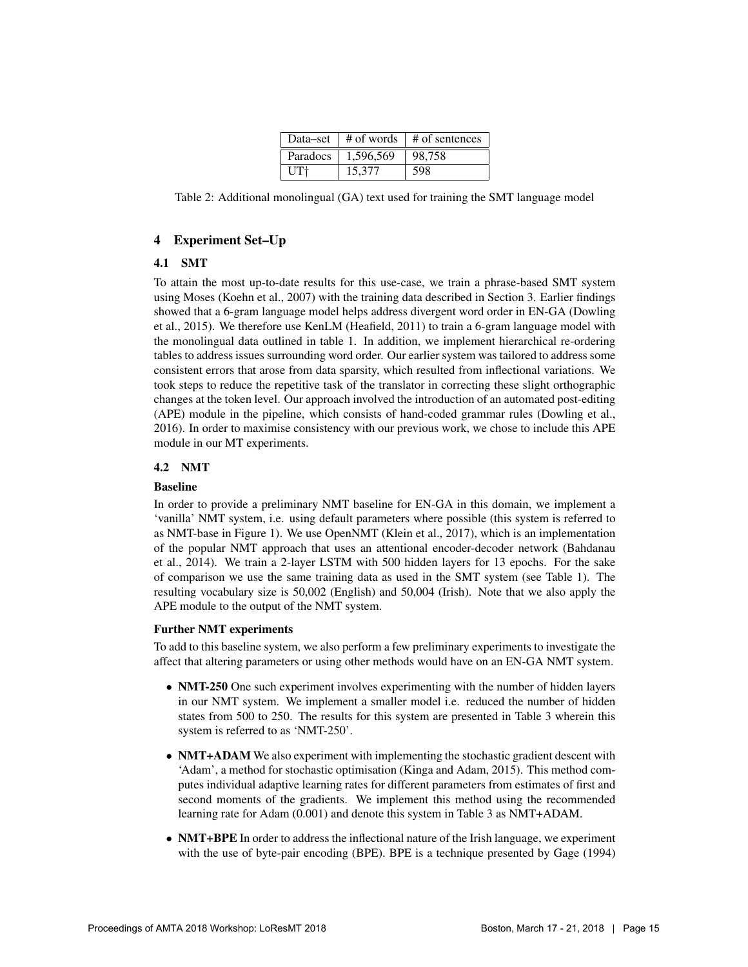| Data–set |           | $\#$ of words $\#$ of sentences |
|----------|-----------|---------------------------------|
| Paradocs | 1,596,569 | 98.758                          |
| UT†      | 15,377    | 598                             |

Table 2: Additional monolingual (GA) text used for training the SMT language model

# 4 Experiment Set–Up

# 4.1 SMT

To attain the most up-to-date results for this use-case, we train a phrase-based SMT system using Moses (Koehn et al., 2007) with the training data described in Section 3. Earlier findings showed that a 6-gram language model helps address divergent word order in EN-GA (Dowling et al., 2015). We therefore use KenLM (Heafield, 2011) to train a 6-gram language model with the monolingual data outlined in table 1. In addition, we implement hierarchical re-ordering tables to address issues surrounding word order. Our earlier system was tailored to address some consistent errors that arose from data sparsity, which resulted from inflectional variations. We took steps to reduce the repetitive task of the translator in correcting these slight orthographic changes at the token level. Our approach involved the introduction of an automated post-editing (APE) module in the pipeline, which consists of hand-coded grammar rules (Dowling et al., 2016). In order to maximise consistency with our previous work, we chose to include this APE module in our MT experiments.

# 4.2 NMT

# Baseline

In order to provide a preliminary NMT baseline for EN-GA in this domain, we implement a 'vanilla' NMT system, i.e. using default parameters where possible (this system is referred to as NMT-base in Figure 1). We use OpenNMT (Klein et al., 2017), which is an implementation of the popular NMT approach that uses an attentional encoder-decoder network (Bahdanau et al., 2014). We train a 2-layer LSTM with 500 hidden layers for 13 epochs. For the sake of comparison we use the same training data as used in the SMT system (see Table 1). The resulting vocabulary size is 50,002 (English) and 50,004 (Irish). Note that we also apply the APE module to the output of the NMT system.

# Further NMT experiments

To add to this baseline system, we also perform a few preliminary experiments to investigate the affect that altering parameters or using other methods would have on an EN-GA NMT system.

- NMT-250 One such experiment involves experimenting with the number of hidden layers in our NMT system. We implement a smaller model i.e. reduced the number of hidden states from 500 to 250. The results for this system are presented in Table 3 wherein this system is referred to as 'NMT-250'.
- NMT+ADAM We also experiment with implementing the stochastic gradient descent with 'Adam', a method for stochastic optimisation (Kinga and Adam, 2015). This method computes individual adaptive learning rates for different parameters from estimates of first and second moments of the gradients. We implement this method using the recommended learning rate for Adam (0.001) and denote this system in Table 3 as NMT+ADAM.
- NMT+BPE In order to address the inflectional nature of the Irish language, we experiment with the use of byte-pair encoding (BPE). BPE is a technique presented by Gage (1994)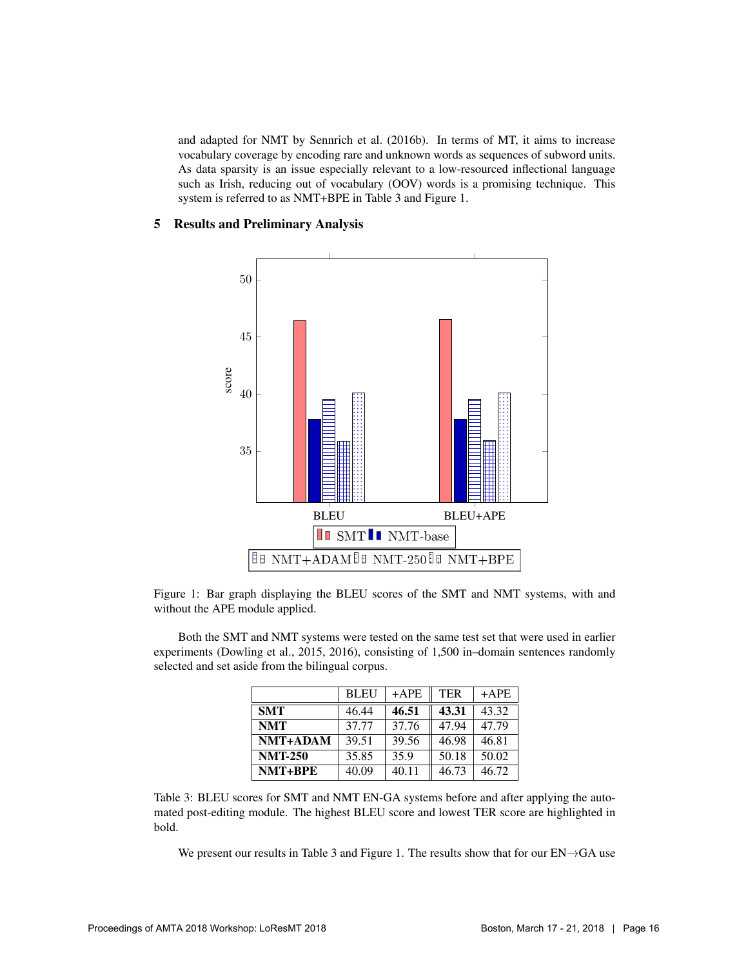and adapted for NMT by Sennrich et al. (2016b). In terms of MT, it aims to increase vocabulary coverage by encoding rare and unknown words as sequences of subword units. As data sparsity is an issue especially relevant to a low-resourced inflectional language such as Irish, reducing out of vocabulary (OOV) words is a promising technique. This system is referred to as NMT+BPE in Table 3 and Figure 1.

## 5 Results and Preliminary Analysis



Figure 1: Bar graph displaying the BLEU scores of the SMT and NMT systems, with and without the APE module applied.

Both the SMT and NMT systems were tested on the same test set that were used in earlier experiments (Dowling et al., 2015, 2016), consisting of 1,500 in–domain sentences randomly selected and set aside from the bilingual corpus.

|                | <b>BLEU</b> | $+$ APE | <b>TER</b> | $+$ APE |
|----------------|-------------|---------|------------|---------|
| <b>SMT</b>     | 46.44       | 46.51   | 43.31      | 43.32   |
| <b>NMT</b>     | 37.77       | 37.76   | 47.94      | 47.79   |
| NMT+ADAM       | 39.51       | 39.56   | 46.98      | 46.81   |
| <b>NMT-250</b> | 35.85       | 35.9    | 50.18      | 50.02   |
| NMT+BPE        | 40.09       | 40.11   | 46.73      | 46.72   |

Table 3: BLEU scores for SMT and NMT EN-GA systems before and after applying the automated post-editing module. The highest BLEU score and lowest TER score are highlighted in bold.

We present our results in Table 3 and Figure 1. The results show that for our EN→GA use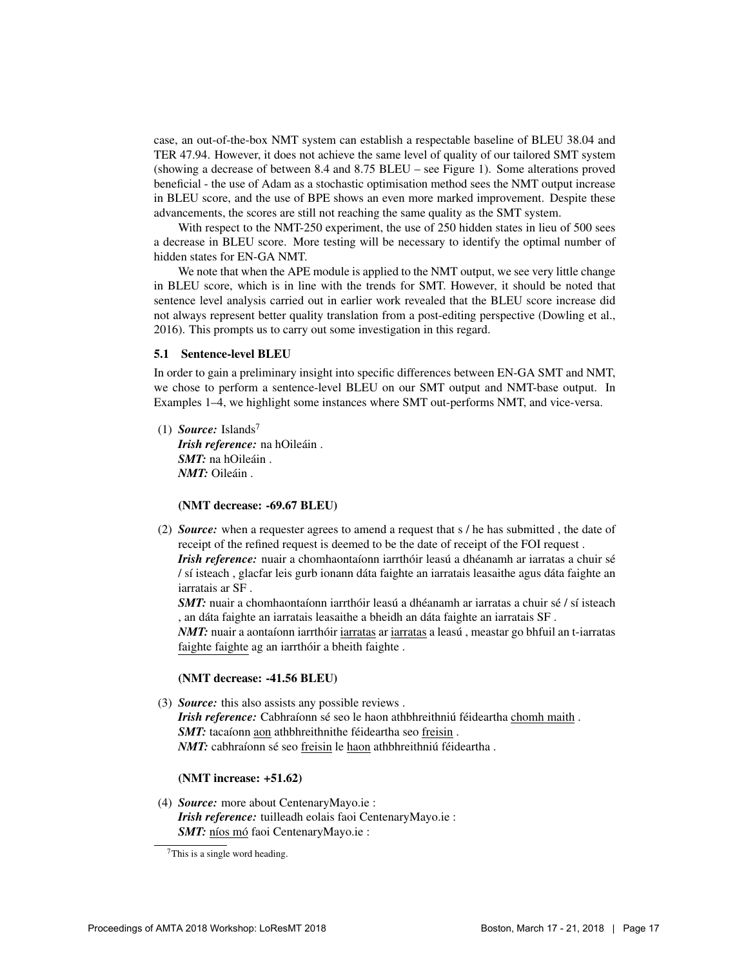case, an out-of-the-box NMT system can establish a respectable baseline of BLEU 38.04 and TER 47.94. However, it does not achieve the same level of quality of our tailored SMT system (showing a decrease of between 8.4 and 8.75 BLEU – see Figure 1). Some alterations proved beneficial - the use of Adam as a stochastic optimisation method sees the NMT output increase in BLEU score, and the use of BPE shows an even more marked improvement. Despite these advancements, the scores are still not reaching the same quality as the SMT system.

With respect to the NMT-250 experiment, the use of 250 hidden states in lieu of 500 sees a decrease in BLEU score. More testing will be necessary to identify the optimal number of hidden states for EN-GA NMT.

We note that when the APE module is applied to the NMT output, we see very little change in BLEU score, which is in line with the trends for SMT. However, it should be noted that sentence level analysis carried out in earlier work revealed that the BLEU score increase did not always represent better quality translation from a post-editing perspective (Dowling et al., 2016). This prompts us to carry out some investigation in this regard.

#### 5.1 Sentence-level BLEU

In order to gain a preliminary insight into specific differences between EN-GA SMT and NMT, we chose to perform a sentence-level BLEU on our SMT output and NMT-base output. In Examples 1–4, we highlight some instances where SMT out-performs NMT, and vice-versa.

(1) *Source:* Islands<sup>7</sup> *Irish reference:* na hOileáin. *SMT*: na hOileáin. *NMT:* Oileáin.

(NMT decrease: -69.67 BLEU)

(2) *Source:* when a requester agrees to amend a request that s / he has submitted , the date of receipt of the refined request is deemed to be the date of receipt of the FOI request . *Irish reference:* nuair a chomhaontaíonn iarrthóir leasú a dhéanamh ar iarratas a chuir sé / sí isteach, glacfar leis gurb ionann dáta faighte an iarratais leasaithe agus dáta faighte an iarratais ar SF .

*SMT*: nuair a chomhaontaíonn iarrthóir leasú a dhéanamh ar iarratas a chuir sé / sí isteach , an dáta faighte an iarratais leasaithe a bheidh an dáta faighte an iarratais SF.

*NMT*: nuair a aontaíonn iarrthóir iarratas ar iarratas a leasú, meastar go bhfuil an t-iarratas faighte faighte ag an iarrthóir a bheith faighte.

## (NMT decrease: -41.56 BLEU)

(3) *Source:* this also assists any possible reviews . *Irish reference:* Cabhraíonn sé seo le haon athbhreithniú féideartha chomh maith. *SMT*: tacaíonn aon athbhreithnithe féideartha seo freisin. *NMT*: cabhraíonn sé seo freisin le haon athbhreithniú féideartha.

# (NMT increase: +51.62)

(4) *Source:* more about CentenaryMayo.ie : *Irish reference:* tuilleadh eolais faoi CentenaryMayo.ie : *SMT:* níos mó faoi CentenaryMayo.ie :

 $7$ This is a single word heading.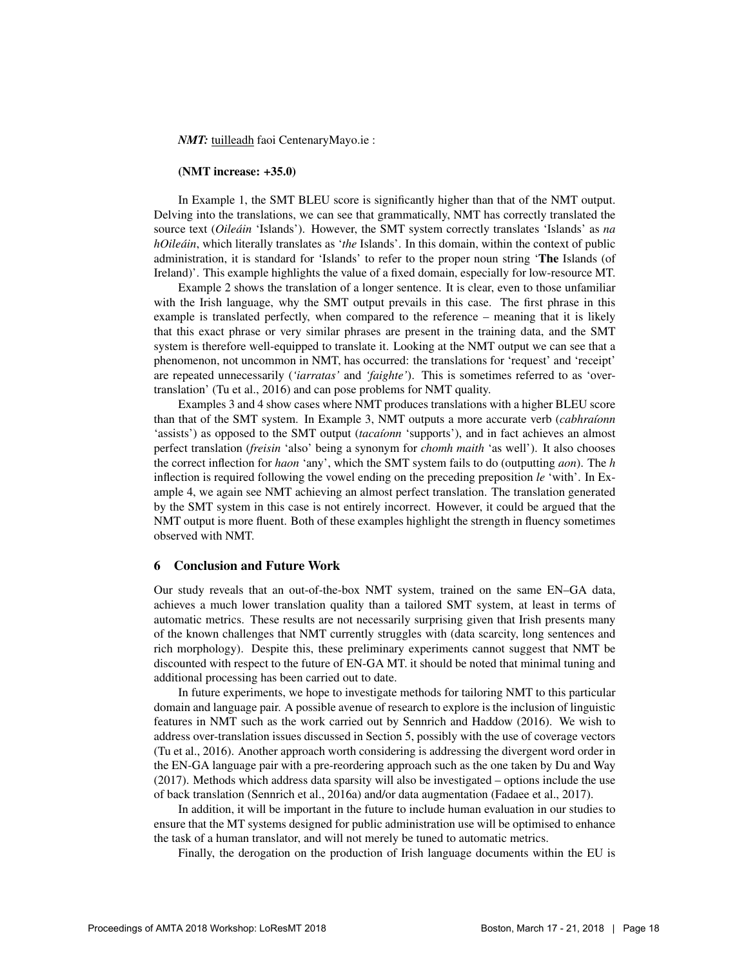*NMT:* tuilleadh faoi CentenaryMayo.ie :

#### (NMT increase: +35.0)

In Example 1, the SMT BLEU score is significantly higher than that of the NMT output. Delving into the translations, we can see that grammatically, NMT has correctly translated the source text (*Oileain ´* 'Islands'). However, the SMT system correctly translates 'Islands' as *na hOileáin*, which literally translates as '*the* Islands'. In this domain, within the context of public administration, it is standard for 'Islands' to refer to the proper noun string 'The Islands (of Ireland)'. This example highlights the value of a fixed domain, especially for low-resource MT.

Example 2 shows the translation of a longer sentence. It is clear, even to those unfamiliar with the Irish language, why the SMT output prevails in this case. The first phrase in this example is translated perfectly, when compared to the reference – meaning that it is likely that this exact phrase or very similar phrases are present in the training data, and the SMT system is therefore well-equipped to translate it. Looking at the NMT output we can see that a phenomenon, not uncommon in NMT, has occurred: the translations for 'request' and 'receipt' are repeated unnecessarily (*'iarratas'* and *'faighte'*). This is sometimes referred to as 'overtranslation' (Tu et al., 2016) and can pose problems for NMT quality.

Examples 3 and 4 show cases where NMT produces translations with a higher BLEU score than that of the SMT system. In Example 3, NMT outputs a more accurate verb (*cabhraíonn*) 'assists') as opposed to the SMT output *(tacaíonn* 'supports'), and in fact achieves an almost perfect translation (*freisin* 'also' being a synonym for *chomh maith* 'as well'). It also chooses the correct inflection for *haon* 'any', which the SMT system fails to do (outputting *aon*). The *h* inflection is required following the vowel ending on the preceding preposition *le* 'with'. In Example 4, we again see NMT achieving an almost perfect translation. The translation generated by the SMT system in this case is not entirely incorrect. However, it could be argued that the NMT output is more fluent. Both of these examples highlight the strength in fluency sometimes observed with NMT.

#### 6 Conclusion and Future Work

Our study reveals that an out-of-the-box NMT system, trained on the same EN–GA data, achieves a much lower translation quality than a tailored SMT system, at least in terms of automatic metrics. These results are not necessarily surprising given that Irish presents many of the known challenges that NMT currently struggles with (data scarcity, long sentences and rich morphology). Despite this, these preliminary experiments cannot suggest that NMT be discounted with respect to the future of EN-GA MT. it should be noted that minimal tuning and additional processing has been carried out to date.

In future experiments, we hope to investigate methods for tailoring NMT to this particular domain and language pair. A possible avenue of research to explore is the inclusion of linguistic features in NMT such as the work carried out by Sennrich and Haddow (2016). We wish to address over-translation issues discussed in Section 5, possibly with the use of coverage vectors (Tu et al., 2016). Another approach worth considering is addressing the divergent word order in the EN-GA language pair with a pre-reordering approach such as the one taken by Du and Way (2017). Methods which address data sparsity will also be investigated – options include the use of back translation (Sennrich et al., 2016a) and/or data augmentation (Fadaee et al., 2017).

In addition, it will be important in the future to include human evaluation in our studies to ensure that the MT systems designed for public administration use will be optimised to enhance the task of a human translator, and will not merely be tuned to automatic metrics.

Finally, the derogation on the production of Irish language documents within the EU is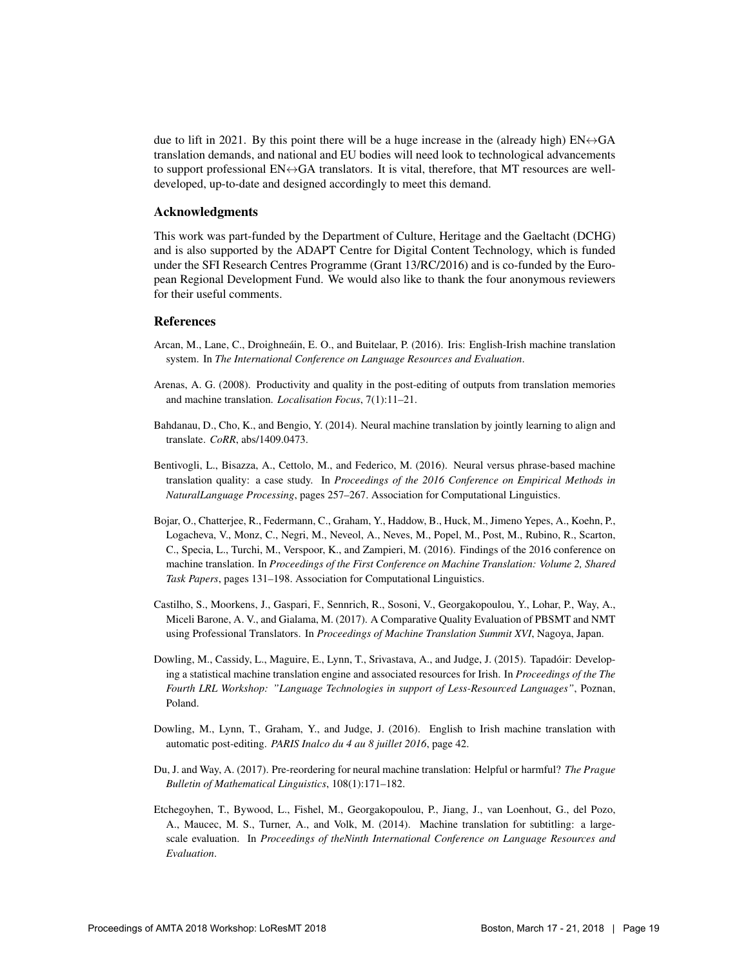due to lift in 2021. By this point there will be a huge increase in the (already high)  $EN \leftrightarrow GA$ translation demands, and national and EU bodies will need look to technological advancements to support professional  $EN \leftrightarrow GA$  translators. It is vital, therefore, that MT resources are welldeveloped, up-to-date and designed accordingly to meet this demand.

#### Acknowledgments

This work was part-funded by the Department of Culture, Heritage and the Gaeltacht (DCHG) and is also supported by the ADAPT Centre for Digital Content Technology, which is funded under the SFI Research Centres Programme (Grant 13/RC/2016) and is co-funded by the European Regional Development Fund. We would also like to thank the four anonymous reviewers for their useful comments.

## References

- Arcan, M., Lane, C., Droighneáin, E. O., and Buitelaar, P. (2016). Iris: English-Irish machine translation system. In *The International Conference on Language Resources and Evaluation*.
- Arenas, A. G. (2008). Productivity and quality in the post-editing of outputs from translation memories and machine translation. *Localisation Focus*, 7(1):11–21.
- Bahdanau, D., Cho, K., and Bengio, Y. (2014). Neural machine translation by jointly learning to align and translate. *CoRR*, abs/1409.0473.
- Bentivogli, L., Bisazza, A., Cettolo, M., and Federico, M. (2016). Neural versus phrase-based machine translation quality: a case study. In *Proceedings of the 2016 Conference on Empirical Methods in NaturalLanguage Processing*, pages 257–267. Association for Computational Linguistics.
- Bojar, O., Chatterjee, R., Federmann, C., Graham, Y., Haddow, B., Huck, M., Jimeno Yepes, A., Koehn, P., Logacheva, V., Monz, C., Negri, M., Neveol, A., Neves, M., Popel, M., Post, M., Rubino, R., Scarton, C., Specia, L., Turchi, M., Verspoor, K., and Zampieri, M. (2016). Findings of the 2016 conference on machine translation. In *Proceedings of the First Conference on Machine Translation: Volume 2, Shared Task Papers*, pages 131–198. Association for Computational Linguistics.
- Castilho, S., Moorkens, J., Gaspari, F., Sennrich, R., Sosoni, V., Georgakopoulou, Y., Lohar, P., Way, A., Miceli Barone, A. V., and Gialama, M. (2017). A Comparative Quality Evaluation of PBSMT and NMT using Professional Translators. In *Proceedings of Machine Translation Summit XVI*, Nagoya, Japan.
- Dowling, M., Cassidy, L., Maguire, E., Lynn, T., Srivastava, A., and Judge, J. (2015). Tapadoir: Develop- ´ ing a statistical machine translation engine and associated resources for Irish. In *Proceedings of the The Fourth LRL Workshop: "Language Technologies in support of Less-Resourced Languages"*, Poznan, Poland.
- Dowling, M., Lynn, T., Graham, Y., and Judge, J. (2016). English to Irish machine translation with automatic post-editing. *PARIS Inalco du 4 au 8 juillet 2016*, page 42.
- Du, J. and Way, A. (2017). Pre-reordering for neural machine translation: Helpful or harmful? *The Prague Bulletin of Mathematical Linguistics*, 108(1):171–182.
- Etchegoyhen, T., Bywood, L., Fishel, M., Georgakopoulou, P., Jiang, J., van Loenhout, G., del Pozo, A., Maucec, M. S., Turner, A., and Volk, M. (2014). Machine translation for subtitling: a largescale evaluation. In *Proceedings of theNinth International Conference on Language Resources and Evaluation*.